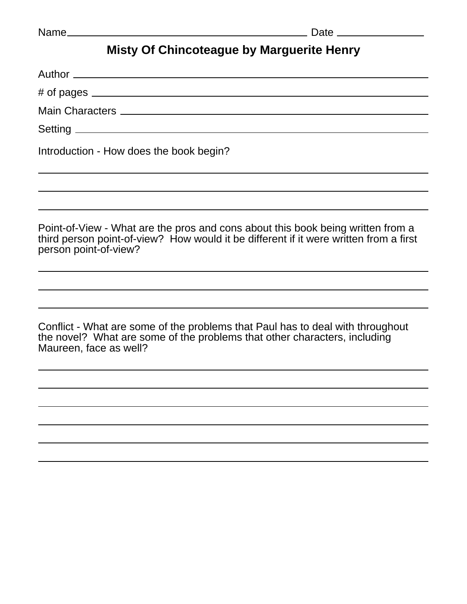## **Misty Of Chincoteague by Marguerite Henry**

| Introduction - How does the book begin? |  |
|-----------------------------------------|--|

Point-of-View - What are the pros and cons about this book being written from a third person point-of-view? How would it be different if it were written from a first person point-of-view?

Conflict - What are some of the problems that Paul has to deal with throughout the novel? What are some of the problems that other characters, including Maureen, face as well?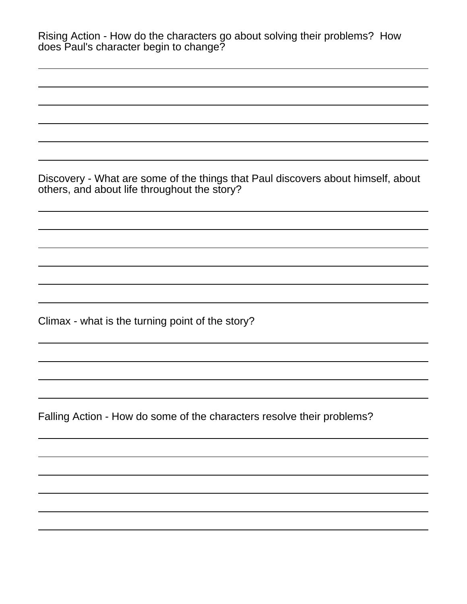| Rising Action - How do the characters go about solving their problems? How<br>does Paul's character begin to change?             |
|----------------------------------------------------------------------------------------------------------------------------------|
|                                                                                                                                  |
|                                                                                                                                  |
| Discovery - What are some of the things that Paul discovers about himself, about<br>others, and about life throughout the story? |
|                                                                                                                                  |
|                                                                                                                                  |
| Climax - what is the turning point of the story?                                                                                 |
|                                                                                                                                  |
| Falling Action - How do some of the characters resolve their problems?                                                           |
|                                                                                                                                  |
|                                                                                                                                  |